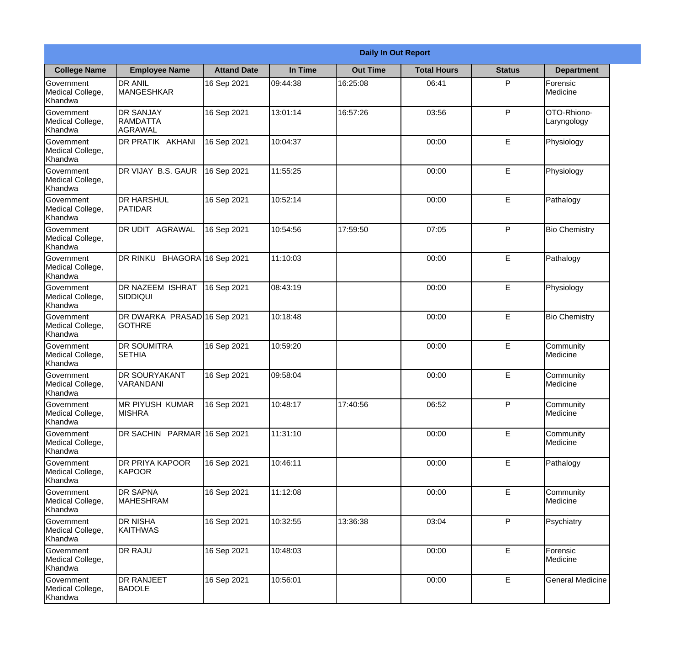|                                                  |                                                | <b>Daily In Out Report</b> |          |                 |                    |               |                            |
|--------------------------------------------------|------------------------------------------------|----------------------------|----------|-----------------|--------------------|---------------|----------------------------|
| <b>College Name</b>                              | <b>Employee Name</b>                           | <b>Attand Date</b>         | In Time  | <b>Out Time</b> | <b>Total Hours</b> | <b>Status</b> | <b>Department</b>          |
| Government<br>Medical College,<br>Khandwa        | <b>DR ANIL</b><br>MANGESHKAR                   | 16 Sep 2021                | 09:44:38 | 16:25:08        | 06:41              | P             | Forensic<br>Medicine       |
| Government<br>Medical College,<br>Khandwa        | <b>DR SANJAY</b><br><b>RAMDATTA</b><br>AGRAWAL | 16 Sep 2021                | 13:01:14 | 16:57:26        | 03:56              | P             | OTO-Rhiono-<br>Laryngology |
| <b>Government</b><br>Medical College,<br>Khandwa | DR PRATIK AKHANI                               | 16 Sep 2021                | 10:04:37 |                 | 00:00              | E             | Physiology                 |
| <b>Government</b><br>Medical College,<br>Khandwa | DR VIJAY B.S. GAUR                             | 16 Sep 2021                | 11:55:25 |                 | 00:00              | E             | Physiology                 |
| Government<br>Medical College,<br>Khandwa        | <b>DR HARSHUL</b><br><b>PATIDAR</b>            | 16 Sep 2021                | 10:52:14 |                 | 00:00              | E             | Pathalogy                  |
| Government<br>Medical College,<br>Khandwa        | DR UDIT AGRAWAL                                | 16 Sep 2021                | 10:54:56 | 17:59:50        | 07:05              | P             | <b>Bio Chemistry</b>       |
| <b>Government</b><br>Medical College,<br>Khandwa | DR RINKU BHAGORA 16 Sep 2021                   |                            | 11:10:03 |                 | 00:00              | E             | Pathalogy                  |
| <b>Government</b><br>Medical College,<br>Khandwa | <b>DR NAZEEM ISHRAT</b><br>SIDDIQUI            | 16 Sep 2021                | 08:43:19 |                 | 00:00              | E             | Physiology                 |
| Government<br>Medical College,<br>Khandwa        | DR DWARKA PRASAD 16 Sep 2021<br><b>GOTHRE</b>  |                            | 10:18:48 |                 | 00:00              | E             | <b>Bio Chemistry</b>       |
| Government<br>Medical College,<br>Khandwa        | <b>DR SOUMITRA</b><br><b>SETHIA</b>            | 16 Sep 2021                | 10:59:20 |                 | 00:00              | E             | Community<br>Medicine      |
| Government<br>Medical College,<br>Khandwa        | <b>DR SOURYAKANT</b><br>VARANDANI              | 16 Sep 2021                | 09:58:04 |                 | 00:00              | E             | Community<br>Medicine      |
| Government<br>Medical College,<br>Khandwa        | <b>MR PIYUSH KUMAR</b><br><b>MISHRA</b>        | 16 Sep 2021                | 10:48:17 | 17:40:56        | 06:52              | P             | Community<br>Medicine      |
| Government<br>Medical College,<br>Khandwa        | DR SACHIN PARMAR 16 Sep 2021                   |                            | 11:31:10 |                 | 00:00              | E             | Community<br>Medicine      |
| Government<br>Medical College,<br>Khandwa        | DR PRIYA KAPOOR<br>KAPOOR                      | 16 Sep 2021                | 10:46:11 |                 | 00:00              | E             | Pathalogy                  |
| Government<br>Medical College,<br>Khandwa        | <b>DR SAPNA</b><br><b>MAHESHRAM</b>            | 16 Sep 2021                | 11:12:08 |                 | 00:00              | E             | Community<br>Medicine      |
| Government<br>Medical College,<br>Khandwa        | <b>DR NISHA</b><br>KAITHWAS                    | 16 Sep 2021                | 10:32:55 | 13:36:38        | 03:04              | P             | Psychiatry                 |
| Government<br>Medical College,<br>Khandwa        | <b>DR RAJU</b>                                 | 16 Sep 2021                | 10:48:03 |                 | 00:00              | E             | Forensic<br>Medicine       |
| Government<br>Medical College,<br>Khandwa        | <b>DR RANJEET</b><br><b>BADOLE</b>             | 16 Sep 2021                | 10:56:01 |                 | 00:00              | E             | <b>General Medicine</b>    |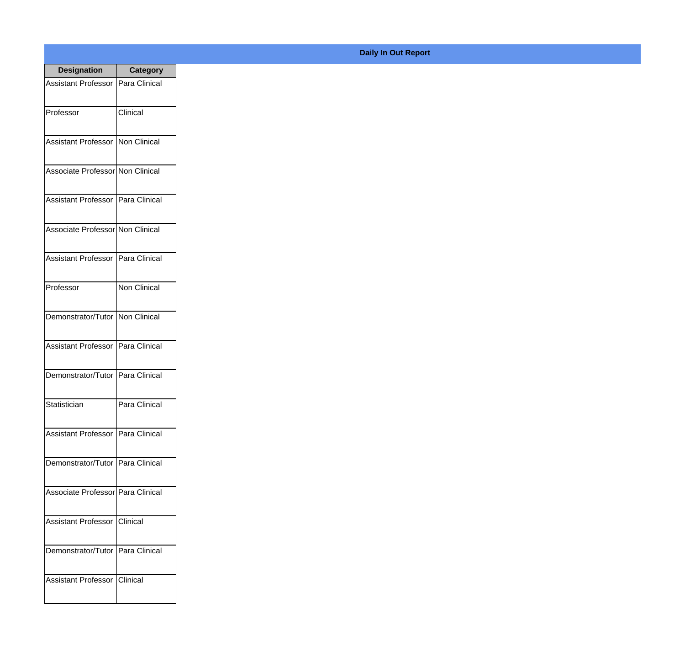| <b>Designation</b>                  | <b>Category</b>     |
|-------------------------------------|---------------------|
| Assistant Professor   Para Clinical |                     |
| Professor                           | Clinical            |
| Assistant Professor   Non Clinical  |                     |
| Associate Professor Non Clinical    |                     |
| Assistant Professor   Para Clinical |                     |
| Associate Professor Non Clinical    |                     |
| Assistant Professor   Para Clinical |                     |
| Professor                           | <b>Non Clinical</b> |
| Demonstrator/Tutor   Non Clinical   |                     |
| <b>Assistant Professor</b>          | Para Clinical       |
| Demonstrator/Tutor   Para Clinical  |                     |
| Statistician                        | Para Clinical       |
| Assistant Professor   Para Clinical |                     |
| Demonstrator/Tutor   Para Clinical  |                     |
| Associate Professor Para Clinical   |                     |
| <b>Assistant Professor</b>          | Clinical            |
| Demonstrator/Tutor   Para Clinical  |                     |
| Assistant Professor   Clinical      |                     |

## **Daily In Out Report**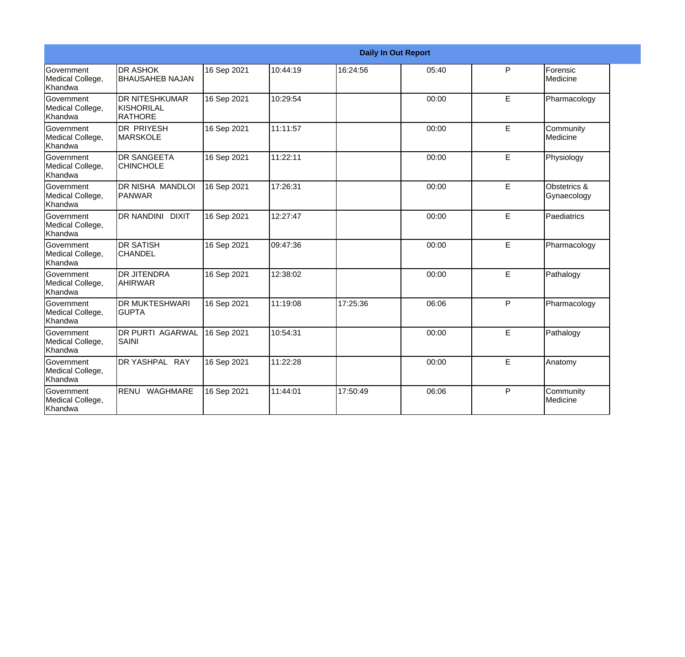|                                                         |                                                  |             |          |          | <b>Daily In Out Report</b> |              |                             |
|---------------------------------------------------------|--------------------------------------------------|-------------|----------|----------|----------------------------|--------------|-----------------------------|
| Government<br>Medical College,<br>Khandwa               | <b>DR ASHOK</b><br><b>BHAUSAHEB NAJAN</b>        | 16 Sep 2021 | 10:44:19 | 16:24:56 | 05:40                      | P            | Forensic<br>Medicine        |
| <b>Government</b><br>Medical College,<br>Khandwa        | <b>DR NITESHKUMAR</b><br>Ikishorilal<br>IRATHORE | 16 Sep 2021 | 10:29:54 |          | 00:00                      | E            | Pharmacology                |
| <b>Government</b><br>Medical College,<br>Khandwa        | IDR PRIYESH<br><b>MARSKOLE</b>                   | 16 Sep 2021 | 11:11:57 |          | 00:00                      | E            | Community<br>Medicine       |
| Government<br>Medical College,<br>Khandwa               | <b>DR SANGEETA</b><br><b>CHINCHOLE</b>           | 16 Sep 2021 | 11:22:11 |          | 00:00                      | E            | Physiology                  |
| <b>Government</b><br>Medical College,<br><b>Khandwa</b> | DR NISHA MANDLOI<br><b>IPANWAR</b>               | 16 Sep 2021 | 17:26:31 |          | 00:00                      | E.           | Obstetrics &<br>Gynaecology |
| Government<br>Medical College,<br>Khandwa               | <b>DR NANDINI</b><br><b>DIXIT</b>                | 16 Sep 2021 | 12:27:47 |          | 00:00                      | E            | Paediatrics                 |
| <b>Government</b><br>Medical College,<br>Khandwa        | IDR SATISH<br><b>CHANDEL</b>                     | 16 Sep 2021 | 09:47:36 |          | 00:00                      | E            | Pharmacology                |
| Government<br>Medical College,<br>Khandwa               | DR JITENDRA<br><b>AHIRWAR</b>                    | 16 Sep 2021 | 12:38:02 |          | 00:00                      | E            | Pathalogy                   |
| Government<br>Medical College,<br>Khandwa               | <b>DR MUKTESHWARI</b><br><b>GUPTA</b>            | 16 Sep 2021 | 11:19:08 | 17:25:36 | 06:06                      | P            | Pharmacology                |
| Government<br>Medical College,<br>Khandwa               | <b>DR PURTI AGARWAL</b><br><b>SAINI</b>          | 16 Sep 2021 | 10:54:31 |          | 00:00                      | E            | Pathalogy                   |
| Government<br>Medical College,<br>Khandwa               | DR YASHPAL RAY                                   | 16 Sep 2021 | 11:22:28 |          | 00:00                      | E            | Anatomy                     |
| <b>Government</b><br>Medical College,<br>Khandwa        | RENU<br>WAGHMARE                                 | 16 Sep 2021 | 11:44:01 | 17:50:49 | 06:06                      | $\mathsf{P}$ | Community<br>Medicine       |